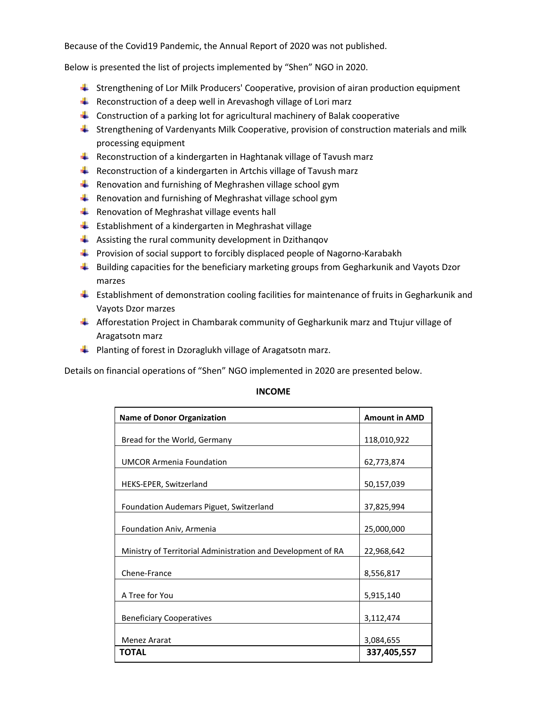Because of the Covid19 Pandemic, the Annual Report of 2020 was not published.

Below is presented the list of projects implemented by "Shen" NGO in 2020.

- Strengthening of Lor Milk Producers' Cooperative, provision of airan production equipment
- Reconstruction of a deep well in Arevashogh village of Lori marz
- **L** Construction of a parking lot for agricultural machinery of Balak cooperative
- **Strengthening of Vardenyants Milk Cooperative, provision of construction materials and milk** processing equipment
- $\ddot{\phantom{1}}$  Reconstruction of a kindergarten in Haghtanak village of Tavush marz
- Reconstruction of a kindergarten in Artchis village of Tavush marz
- Renovation and furnishing of Meghrashen village school gym
- Renovation and furnishing of Meghrashat village school gym
- Renovation of Meghrashat village events hall
- $\blacksquare$  Establishment of a kindergarten in Meghrashat village
- $\downarrow$  Assisting the rural community development in Dzithangov
- **Provision of social support to forcibly displaced people of Nagorno-Karabakh**
- $\ddot{\phantom{1}}$  Building capacities for the beneficiary marketing groups from Gegharkunik and Vayots Dzor marzes
- $\blacksquare$  Establishment of demonstration cooling facilities for maintenance of fruits in Gegharkunik and Vayots Dzor marzes
- Afforestation Project in Chambarak community of Gegharkunik marz and Ttujur village of Aragatsotn marz
- **Planting of forest in Dzoraglukh village of Aragatsotn marz.**

Details on financial operations of "Shen" NGO implemented in 2020 are presented below.

| <b>Name of Donor Organization</b>                            | <b>Amount in AMD</b> |
|--------------------------------------------------------------|----------------------|
|                                                              |                      |
| Bread for the World, Germany                                 | 118,010,922          |
| <b>UMCOR Armenia Foundation</b>                              | 62,773,874           |
| HEKS-EPER, Switzerland                                       | 50,157,039           |
| Foundation Audemars Piguet, Switzerland                      | 37,825,994           |
| Foundation Aniv, Armenia                                     | 25,000,000           |
| Ministry of Territorial Administration and Development of RA | 22,968,642           |
| Chene-France                                                 | 8,556,817            |
| A Tree for You                                               | 5,915,140            |
| <b>Beneficiary Cooperatives</b>                              | 3,112,474            |
| <b>Menez Ararat</b>                                          | 3,084,655            |
| <b>TOTAL</b>                                                 | 337,405,557          |

## **INCOME**